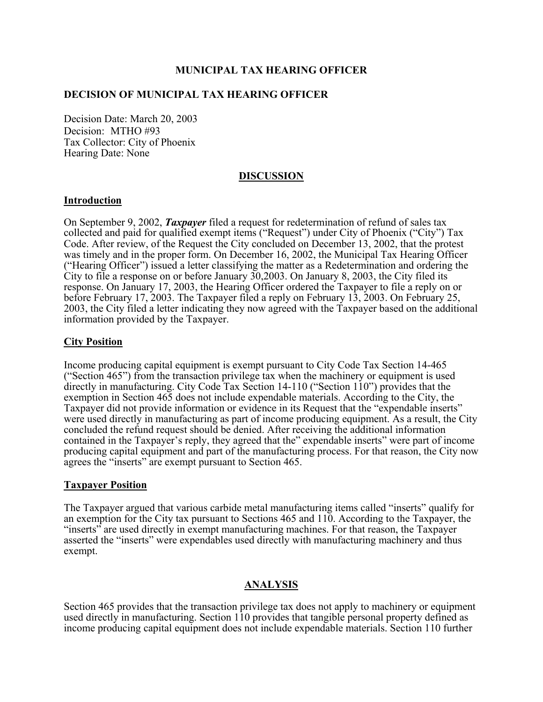## **MUNICIPAL TAX HEARING OFFICER**

## **DECISION OF MUNICIPAL TAX HEARING OFFICER**

Decision Date: March 20, 2003 Decision: MTHO #93 Tax Collector: City of Phoenix Hearing Date: None

#### **DISCUSSION**

### **Introduction**

On September 9, 2002, *Taxpayer* filed a request for redetermination of refund of sales tax collected and paid for qualified exempt items ("Request") under City of Phoenix ("City") Tax Code. After review, of the Request the City concluded on December 13, 2002, that the protest was timely and in the proper form. On December 16, 2002, the Municipal Tax Hearing Officer ("Hearing Officer") issued a letter classifying the matter as a Redetermination and ordering the City to file a response on or before January  $30,2003$ . On January 8, 2003, the City filed its response. On January 17, 2003, the Hearing Officer ordered the Taxpayer to file a reply on or before February 17, 2003. The Taxpayer filed a reply on February 13, 2003. On February 25, 2003, the City filed a letter indicating they now agreed with the Taxpayer based on the additional information provided by the Taxpayer.

### **City Position**

Income producing capital equipment is exempt pursuant to City Code Tax Section 14-465 ("Section 465") from the transaction privilege tax when the machinery or equipment is used directly in manufacturing. City Code Tax Section 14-110 ("Section 110") provides that the exemption in Section 465 does not include expendable materials. According to the City, the Taxpayer did not provide information or evidence in its Request that the "expendable inserts" were used directly in manufacturing as part of income producing equipment. As a result, the City concluded the refund request should be denied. After receiving the additional information contained in the Taxpayer's reply, they agreed that the" expendable inserts" were part of income producing capital equipment and part of the manufacturing process. For that reason, the City now agrees the "inserts" are exempt pursuant to Section 465.

#### **Taxpayer Position**

The Taxpayer argued that various carbide metal manufacturing items called "inserts" qualify for an exemption for the City tax pursuant to Sections 465 and 110. According to the Taxpayer, the "inserts" are used directly in exempt manufacturing machines. For that reason, the Taxpayer asserted the "inserts" were expendables used directly with manufacturing machinery and thus exempt.

## **ANALYSIS**

Section 465 provides that the transaction privilege tax does not apply to machinery or equipment used directly in manufacturing. Section 110 provides that tangible personal property defined as income producing capital equipment does not include expendable materials. Section 110 further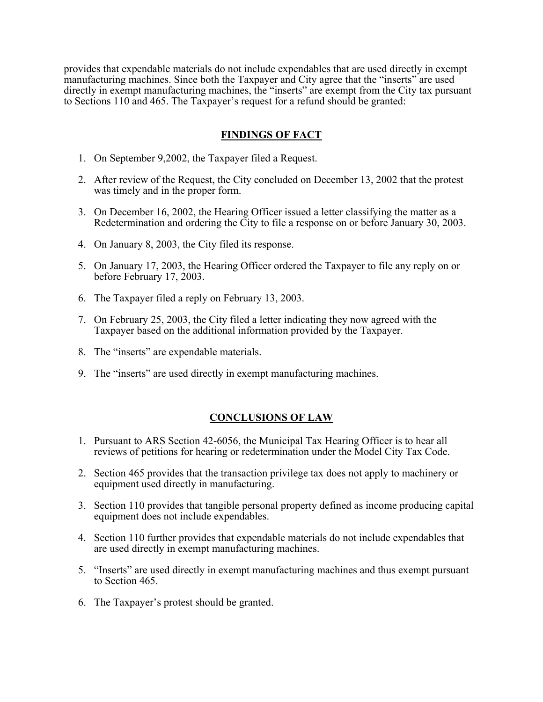provides that expendable materials do not include expendables that are used directly in exempt manufacturing machines. Since both the Taxpayer and City agree that the "inserts" are used directly in exempt manufacturing machines, the "inserts" are exempt from the City tax pursuant to Sections 110 and 465. The Taxpayer's request for a refund should be granted:

# **FINDINGS OF FACT**

- 1. On September 9,2002, the Taxpayer filed a Request.
- 2. After review of the Request, the City concluded on December 13, 2002 that the protest was timely and in the proper form.
- 3. On December 16, 2002, the Hearing Officer issued a letter classifying the matter as a Redetermination and ordering the City to file a response on or before January 30, 2003.
- 4. On January 8, 2003, the City filed its response.
- 5. On January 17, 2003, the Hearing Officer ordered the Taxpayer to file any reply on or before February 17, 2003.
- 6. The Taxpayer filed a reply on February 13, 2003.
- 7. On February 25, 2003, the City filed a letter indicating they now agreed with the Taxpayer based on the additional information provided by the Taxpayer.
- 8. The "inserts" are expendable materials.
- 9. The "inserts" are used directly in exempt manufacturing machines.

# **CONCLUSIONS OF LAW**

- 1. Pursuant to ARS Section 42-6056, the Municipal Tax Hearing Officer is to hear all reviews of petitions for hearing or redetermination under the Model City Tax Code.
- 2. Section 465 provides that the transaction privilege tax does not apply to machinery or equipment used directly in manufacturing.
- 3. Section 110 provides that tangible personal property defined as income producing capital equipment does not include expendables.
- 4. Section 110 further provides that expendable materials do not include expendables that are used directly in exempt manufacturing machines.
- 5. "Inserts" are used directly in exempt manufacturing machines and thus exempt pursuant to Section 465.
- 6. The Taxpayer's protest should be granted.